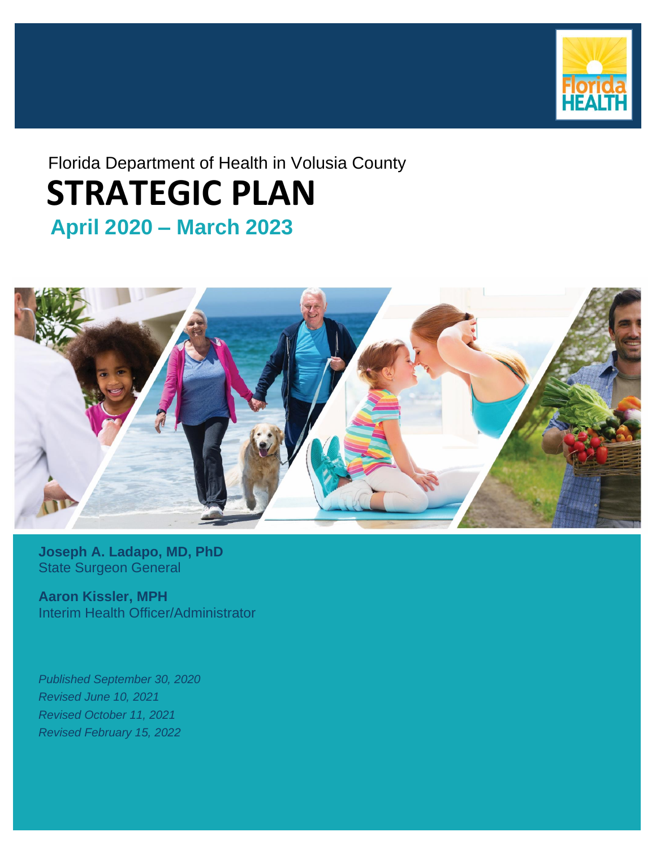

## Florida Department of Health in Volusia County  **April 2020 – March 2023 STRATEGIC PLAN**



**Joseph A. Ladapo, MD, PhD** State Surgeon General

**Aaron Kissler, MPH** Interim Health Officer/Administrator

*Published September 30, 2020 Revised June 10, 2021 Revised October 11, 2021 Revised February 15, 2022*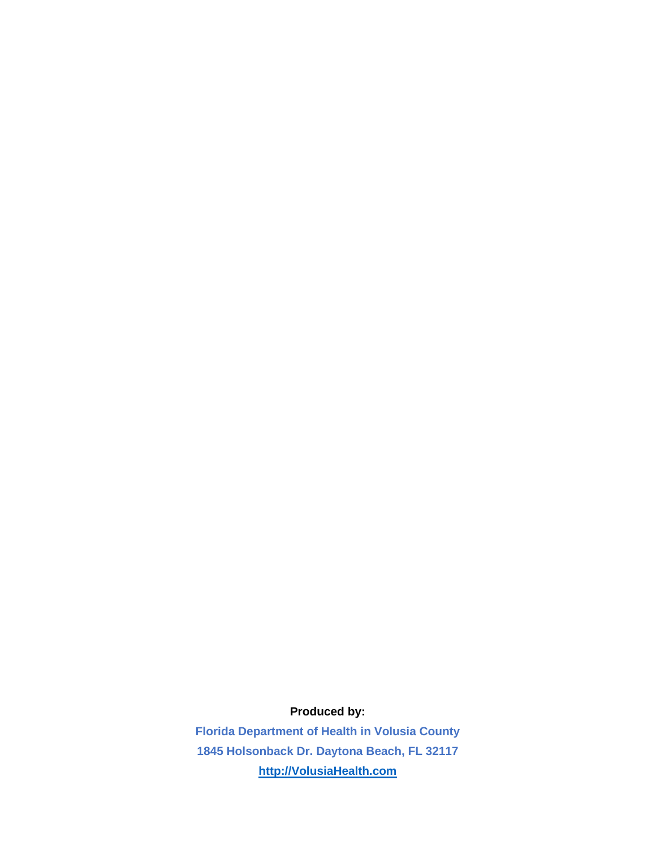### **Produced by:**

**Florida Department of Health in Volusia County 1845 Holsonback Dr. Daytona Beach, FL 32117 [http://VolusiaHealth.com](http://volusiahealth.com/)**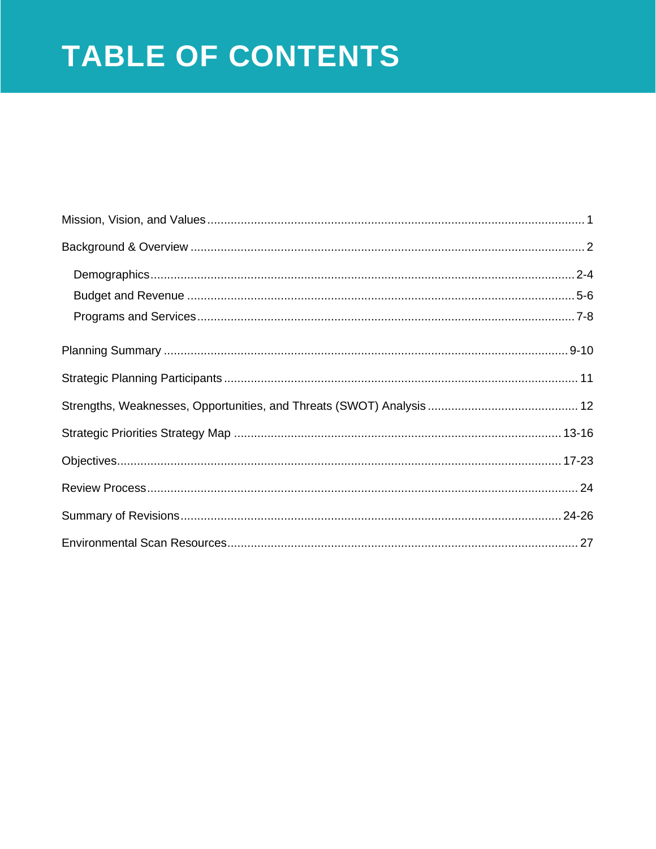# TABLE OF CONTENTS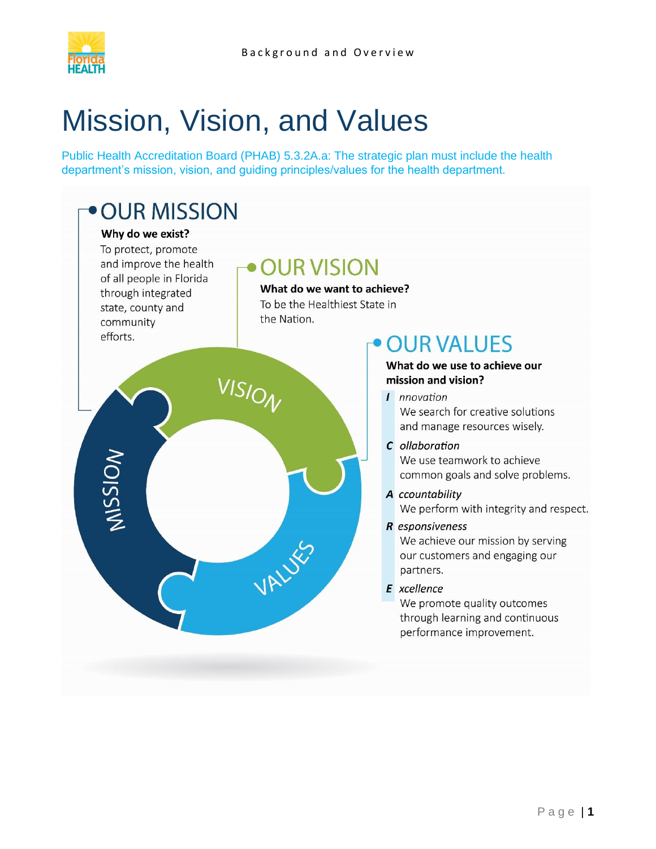

# <span id="page-3-0"></span>Mission, Vision, and Values

Public Health Accreditation Board (PHAB) 5.3.2A.a: The strategic plan must include the health department's mission, vision, and guiding principles/values for the health department.

## • OUR MISSION

#### Why do we exist?

To protect, promote and improve the health of all people in Florida through integrated state, county and community efforts.

## **OUR VISION**

What do we want to achieve? To be the Healthiest State in the Nation.



## **OUR VALUES**

#### What do we use to achieve our mission and vision?

- *I nnovation* We search for creative solutions and manage resources wisely.
- C ollaboration We use teamwork to achieve common goals and solve problems.
- A ccountability We perform with integrity and respect.
- R esponsiveness We achieve our mission by serving our customers and engaging our partners.
- **E** xcellence

We promote quality outcomes through learning and continuous performance improvement.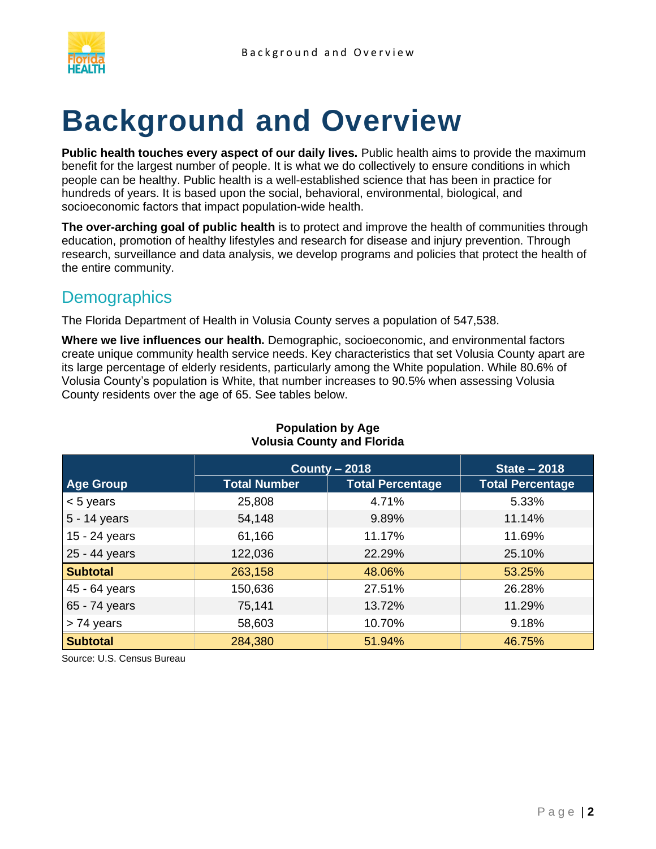

# <span id="page-4-0"></span>**Background and Overview**

Public health touches every aspect of our daily lives. Public health aims to provide the maximum benefit for the largest number of people. It is what we do collectively to ensure conditions in which people can be healthy. Public health is a well-established science that has been in practice for hundreds of years. It is based upon the social, behavioral, environmental, biological, and socioeconomic factors that impact population-wide health.

**The over-arching goal of public health** is to protect and improve the health of communities through education, promotion of healthy lifestyles and research for disease and injury prevention. Through research, surveillance and data analysis, we develop programs and policies that protect the health of the entire community.

## <span id="page-4-1"></span>**Demographics**

The Florida Department of Health in Volusia County serves a population of 547,538.

**Where we live influences our health.** Demographic, socioeconomic, and environmental factors create unique community health service needs. Key characteristics that set Volusia County apart are its large percentage of elderly residents, particularly among the White population. While 80.6% of Volusia County's population is White, that number increases to 90.5% when assessing Volusia County residents over the age of 65. See tables below.

|                  | County $-2018$      | <b>State - 2018</b>     |                         |  |
|------------------|---------------------|-------------------------|-------------------------|--|
| <b>Age Group</b> | <b>Total Number</b> | <b>Total Percentage</b> | <b>Total Percentage</b> |  |
| $< 5$ years      | 25,808              | 4.71%                   | 5.33%                   |  |
| 5 - 14 years     | 54,148              | 9.89%                   | 11.14%                  |  |
| 15 - 24 years    | 61,166              | 11.17%                  | 11.69%                  |  |
| 25 - 44 years    | 122,036             | 22.29%                  | 25.10%                  |  |
| <b>Subtotal</b>  | 263,158             | 48.06%                  | 53.25%                  |  |
| 45 - 64 years    | 150,636             | 27.51%                  | 26.28%                  |  |
| 65 - 74 years    | 75,141              | 13.72%                  | 11.29%                  |  |
| > 74 years       | 58,603              | 10.70%                  | 9.18%                   |  |
| <b>Subtotal</b>  | 284,380             | 51.94%                  | 46.75%                  |  |

#### **Population by Age Volusia County and Florida**

Source: U.S. Census Bureau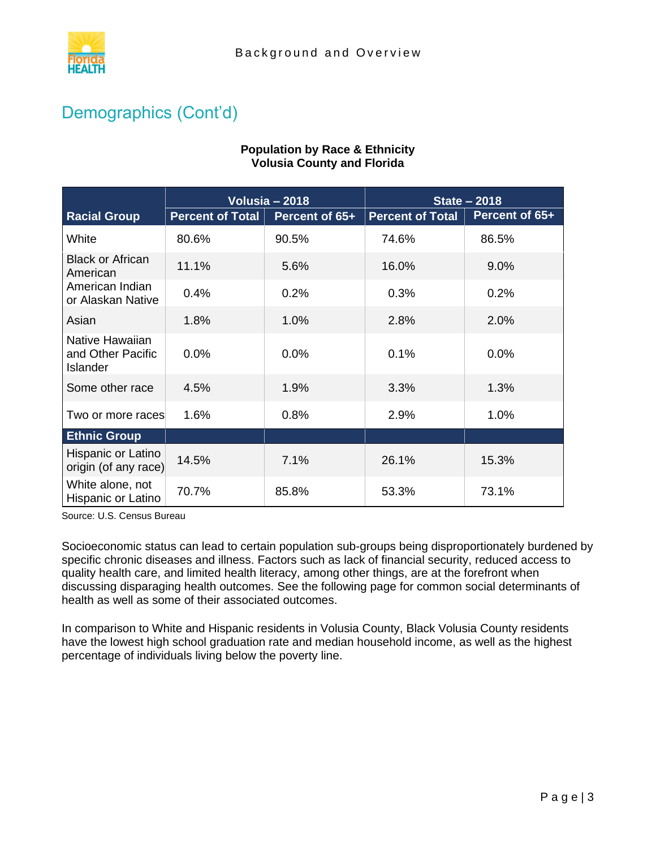

**Population by Race & Ethnicity Volusia County and Florida**

## Demographics (Cont'd)

#### **Racial Group Volusia – 2018 State – 2018 Percent of Total Percent of 65+ Percent of Total Percent of 65+** White 80.6% 90.5% 74.6% 86.5% Black or African American 11.1% 5.6% 16.0% 9.0% American Indian or Alaskan Native 0.4% and 0.2% 0.3% 0.2% 0.2% Asian 1.8% 1.0% 2.8% 2.0% Native Hawaiian and Other Pacific Islander 0.0% 0.0% 0.1% 0.0% Some other race  $\begin{array}{|c|c|c|c|c|} \hline 4.5\% & 1.9\% & 3.3\% & 1.3\% \hline \end{array}$ Two or more races  $1.6\%$   $0.8\%$   $1.0\%$ **Ethnic Group** Hispanic or Latino origin (of any race) 14.5% 7.1% 26.1% 15.3% White alone, not Hispanic or Latino 70.7% 85.8% 53.3% 73.1%

Source: U.S. Census Bureau

Socioeconomic status can lead to certain population sub-groups being disproportionately burdened by specific chronic diseases and illness. Factors such as lack of financial security, reduced access to quality health care, and limited health literacy, among other things, are at the forefront when discussing disparaging health outcomes. See the following page for common social determinants of health as well as some of their associated outcomes.

In comparison to White and Hispanic residents in Volusia County, Black Volusia County residents have the lowest high school graduation rate and median household income, as well as the highest percentage of individuals living below the poverty line.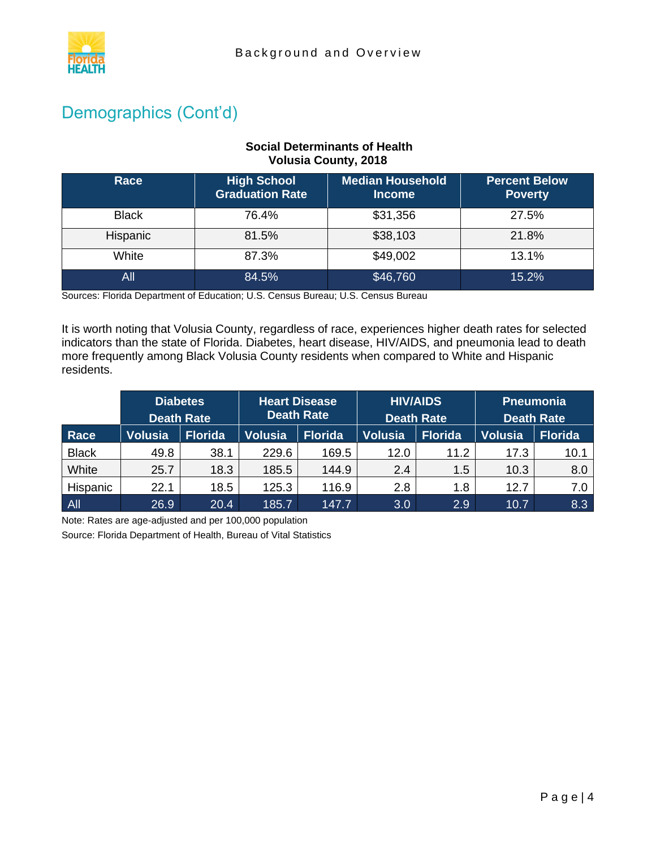

## Demographics (Cont'd)

#### **Social Determinants of Health Volusia County, 2018**

| Race         | <b>High School</b><br><b>Graduation Rate</b> | <b>Median Household</b><br><b>Income</b> | <b>Percent Below</b><br><b>Poverty</b> |
|--------------|----------------------------------------------|------------------------------------------|----------------------------------------|
| <b>Black</b> | 76.4%                                        | \$31,356                                 | 27.5%                                  |
| Hispanic     | 81.5%                                        | \$38,103                                 | 21.8%                                  |
| White        | 87.3%                                        | \$49,002                                 | 13.1%                                  |
| All          | 84.5%                                        | \$46,760                                 | 15.2%                                  |

Sources: Florida Department of Education; U.S. Census Bureau; U.S. Census Bureau

It is worth noting that Volusia County, regardless of race, experiences higher death rates for selected indicators than the state of Florida. Diabetes, heart disease, HIV/AIDS, and pneumonia lead to death more frequently among Black Volusia County residents when compared to White and Hispanic residents.

|              | <b>Diabetes</b><br><b>Death Rate</b> |                | <b>Heart Disease</b><br><b>Death Rate</b> |                | <b>HIV/AIDS</b><br><b>Death Rate</b> |                | <b>Pneumonia</b><br><b>Death Rate</b> |         |
|--------------|--------------------------------------|----------------|-------------------------------------------|----------------|--------------------------------------|----------------|---------------------------------------|---------|
| Race         | <b>Volusia</b>                       | <b>Florida</b> | <b>Volusia</b>                            | <b>Florida</b> | <b>Volusia</b>                       | <b>Florida</b> | <b>Volusia</b>                        | Florida |
| <b>Black</b> | 49.8                                 | 38.1           | 229.6                                     | 169.5          | 12.0                                 | 11.2           | 17.3                                  | 10.1    |
| White        | 25.7                                 | 18.3           | 185.5                                     | 144.9          | 2.4                                  | 1.5            | 10.3                                  | 8.0     |
| Hispanic     | 22.1                                 | 18.5           | 125.3                                     | 116.9          | 2.8                                  | 1.8            | 12.7                                  | 7.0     |
| All          | 26.9                                 | 20.4           | 185.7                                     | 147.7          | 3.0                                  | 2.9            | 10.7                                  | 8.3     |

Note: Rates are age-adjusted and per 100,000 population

Source: Florida Department of Health, Bureau of Vital Statistics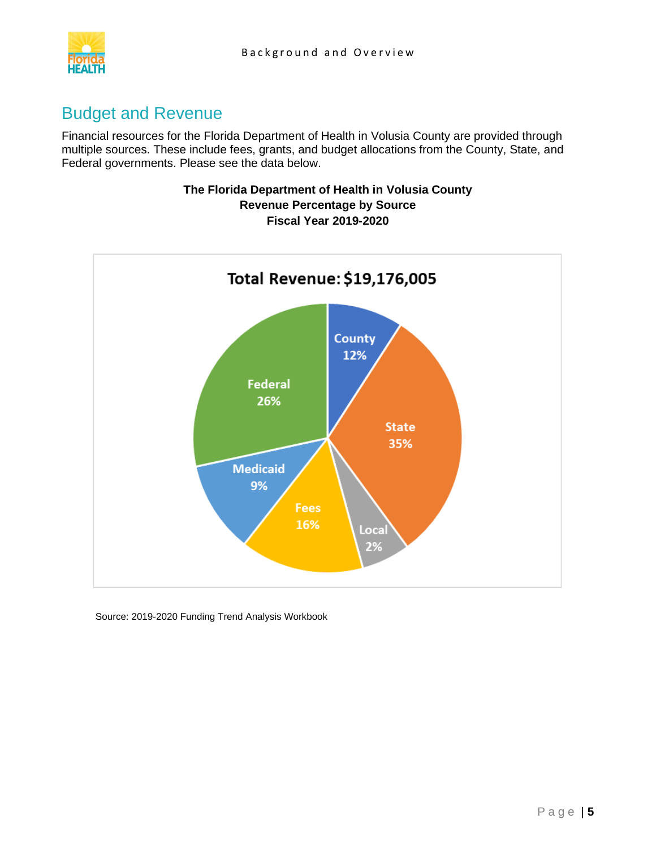



### <span id="page-7-0"></span>Budget and Revenue

Financial resources for the Florida Department of Health in Volusia County are provided through multiple sources. These include fees, grants, and budget allocations from the County, State, and Federal governments. Please see the data below.

#### **The Florida Department of Health in Volusia County Revenue Percentage by Source Fiscal Year 2019-2020**



Source: 2019-2020 Funding Trend Analysis Workbook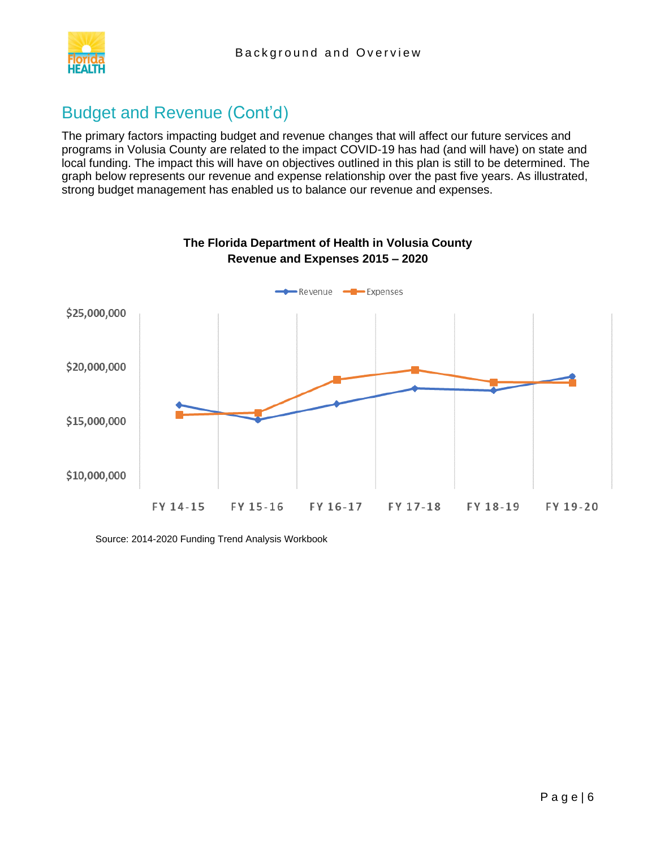

## Budget and Revenue (Cont'd)

The primary factors impacting budget and revenue changes that will affect our future services and programs in Volusia County are related to the impact COVID-19 has had (and will have) on state and local funding. The impact this will have on objectives outlined in this plan is still to be determined. The graph below represents our revenue and expense relationship over the past five years. As illustrated, strong budget management has enabled us to balance our revenue and expenses.



Source: 2014-2020 Funding Trend Analysis Workbook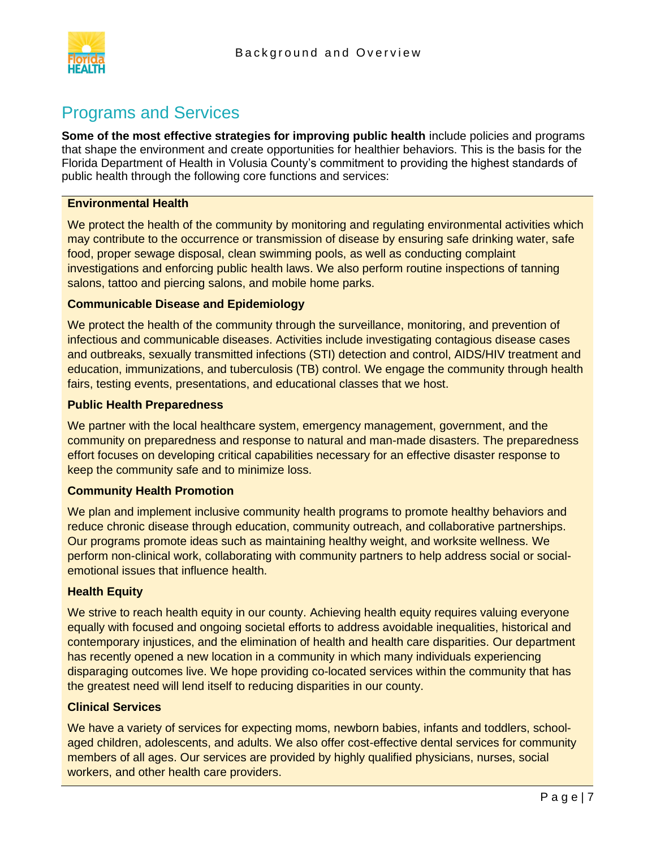

### <span id="page-9-0"></span>Programs and Services

**Some of the most effective strategies for improving public health** include policies and programs that shape the environment and create opportunities for healthier behaviors. This is the basis for the Florida Department of Health in Volusia County's commitment to providing the highest standards of public health through the following core functions and services:

#### **Environmental Health**

We protect the health of the community by monitoring and regulating environmental activities which may contribute to the occurrence or transmission of disease by ensuring safe drinking water, safe food, proper sewage disposal, clean swimming pools, as well as conducting complaint investigations and enforcing public health laws. We also perform routine inspections of tanning salons, tattoo and piercing salons, and mobile home parks.

#### **Communicable Disease and Epidemiology**

We protect the health of the community through the surveillance, monitoring, and prevention of infectious and communicable diseases. Activities include investigating contagious disease cases and outbreaks, sexually transmitted infections (STI) detection and control, AIDS/HIV treatment and education, immunizations, and tuberculosis (TB) control. We engage the community through health fairs, testing events, presentations, and educational classes that we host.

#### **Public Health Preparedness**

We partner with the local healthcare system, emergency management, government, and the community on preparedness and response to natural and man-made disasters. The preparedness effort focuses on developing critical capabilities necessary for an effective disaster response to keep the community safe and to minimize loss.

#### **Community Health Promotion**

We plan and implement inclusive community health programs to promote healthy behaviors and reduce chronic disease through education, community outreach, and collaborative partnerships. Our programs promote ideas such as maintaining healthy weight, and worksite wellness. We perform non-clinical work, collaborating with community partners to help address social or socialemotional issues that influence health.

#### **Health Equity**

We strive to reach health equity in our county. Achieving health equity requires valuing everyone equally with focused and ongoing societal efforts to address avoidable inequalities, historical and contemporary injustices, and the elimination of health and health care disparities. Our department has recently opened a new location in a community in which many individuals experiencing disparaging outcomes live. We hope providing co-located services within the community that has the greatest need will lend itself to reducing disparities in our county.

#### **Clinical Services**

We have a variety of services for expecting moms, newborn babies, infants and toddlers, schoolaged children, adolescents, and adults. We also offer cost-effective dental services for community members of all ages. Our services are provided by highly qualified physicians, nurses, social workers, and other health care providers.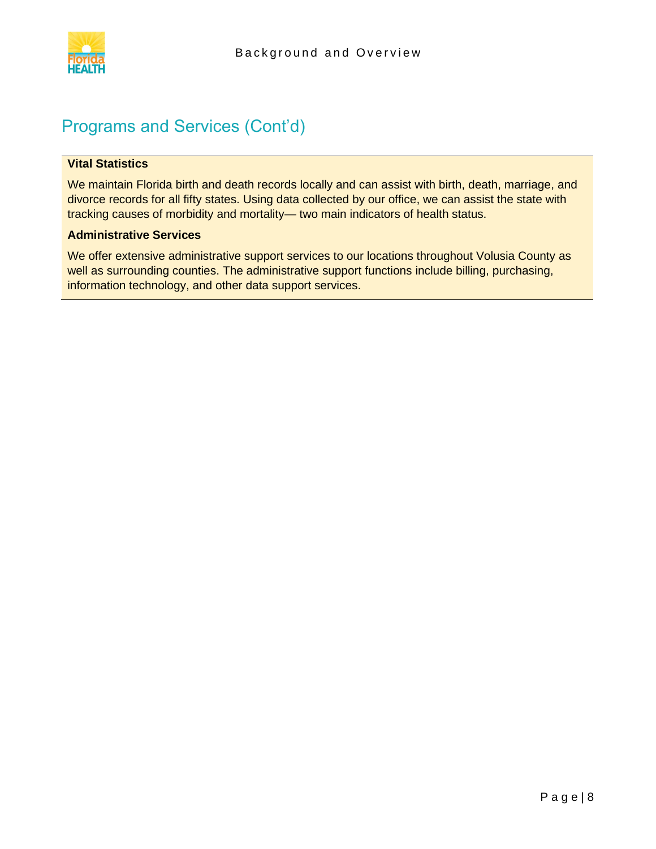

## Programs and Services (Cont'd)

#### **Vital Statistics**

We maintain Florida birth and death records locally and can assist with birth, death, marriage, and divorce records for all fifty states. Using data collected by our office, we can assist the state with tracking causes of morbidity and mortality— two main indicators of health status.

#### **Administrative Services**

We offer extensive administrative support services to our locations throughout Volusia County as well as surrounding counties. The administrative support functions include billing, purchasing, information technology, and other data support services.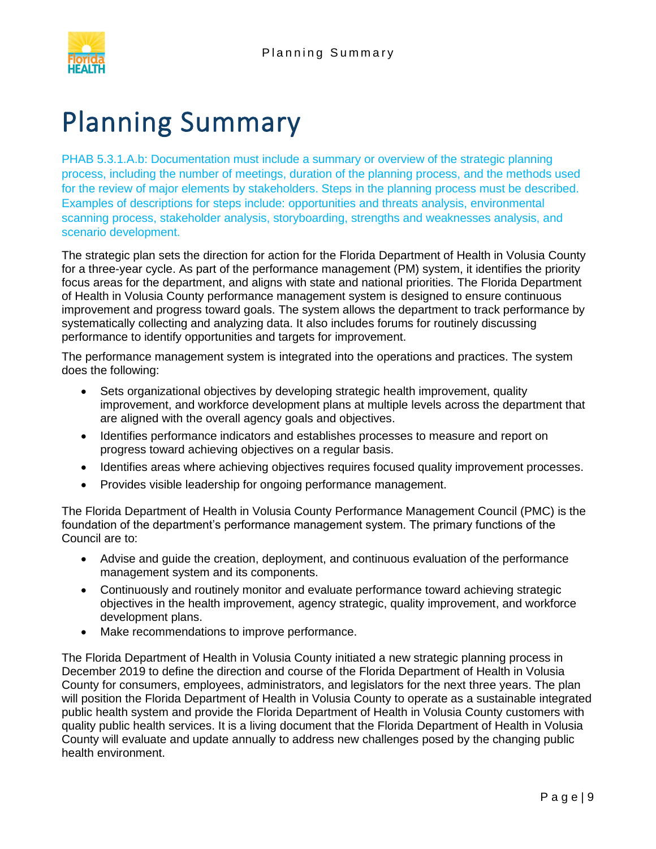

## <span id="page-11-0"></span>[Planning Summary](#page-11-0)

PHAB 5.3.1.A.b: Documentation must include a summary or overview of the strategic planning process, including the number of meetings, duration of the planning process, and the methods used for the review of major elements by stakeholders. Steps in the planning process must be described. Examples of descriptions for steps include: opportunities and threats analysis, environmental scanning process, stakeholder analysis, storyboarding, strengths and weaknesses analysis, and scenario development.

The strategic plan sets the direction for action for the Florida Department of Health in Volusia County for a three-year cycle. As part of the performance management (PM) system, it identifies the priority focus areas for the department, and aligns with state and national priorities. The Florida Department of Health in Volusia County performance management system is designed to ensure continuous improvement and progress toward goals. The system allows the department to track performance by systematically collecting and analyzing data. It also includes forums for routinely discussing performance to identify opportunities and targets for improvement.

The performance management system is integrated into the operations and practices. The system does the following:

- Sets organizational objectives by developing strategic health improvement, quality improvement, and workforce development plans at multiple levels across the department that are aligned with the overall agency goals and objectives.
- Identifies performance indicators and establishes processes to measure and report on progress toward achieving objectives on a regular basis.
- Identifies areas where achieving objectives requires focused quality improvement processes.
- Provides visible leadership for ongoing performance management.

The Florida Department of Health in Volusia County Performance Management Council (PMC) is the foundation of the department's performance management system. The primary functions of the Council are to:

- Advise and guide the creation, deployment, and continuous evaluation of the performance management system and its components.
- Continuously and routinely monitor and evaluate performance toward achieving strategic objectives in the health improvement, agency strategic, quality improvement, and workforce development plans.
- Make recommendations to improve performance.

The Florida Department of Health in Volusia County initiated a new strategic planning process in December 2019 to define the direction and course of the Florida Department of Health in Volusia County for consumers, employees, administrators, and legislators for the next three years. The plan will position the Florida Department of Health in Volusia County to operate as a sustainable integrated public health system and provide the Florida Department of Health in Volusia County customers with quality public health services. It is a living document that the Florida Department of Health in Volusia County will evaluate and update annually to address new challenges posed by the changing public health environment.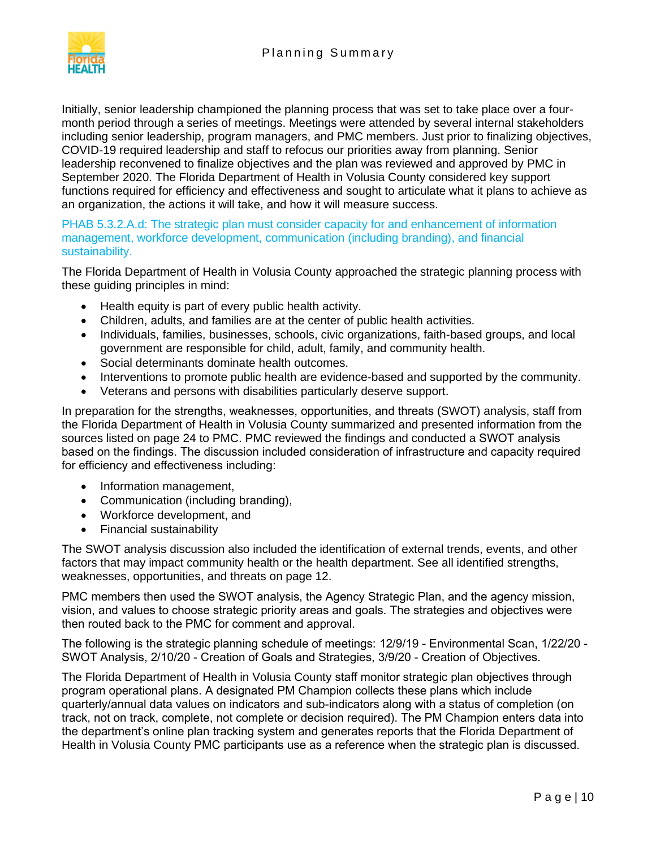

Initially, senior leadership championed the planning process that was set to take place over a fourmonth period through a series of meetings. Meetings were attended by several internal stakeholders including senior leadership, program managers, and PMC members. Just prior to finalizing objectives, COVID-19 required leadership and staff to refocus our priorities away from planning. Senior leadership reconvened to finalize objectives and the plan was reviewed and approved by PMC in September 2020. The Florida Department of Health in Volusia County considered key support functions required for efficiency and effectiveness and sought to articulate what it plans to achieve as an organization, the actions it will take, and how it will measure success.

PHAB 5.3.2.A.d: The strategic plan must consider capacity for and enhancement of information management, workforce development, communication (including branding), and financial sustainability.

The Florida Department of Health in Volusia County approached the strategic planning process with these guiding principles in mind:

- Health equity is part of every public health activity.
- Children, adults, and families are at the center of public health activities.
- Individuals, families, businesses, schools, civic organizations, faith-based groups, and local government are responsible for child, adult, family, and community health.
- Social determinants dominate health outcomes.
- Interventions to promote public health are evidence-based and supported by the community.
- Veterans and persons with disabilities particularly deserve support.

In preparation for the strengths, weaknesses, opportunities, and threats (SWOT) analysis, staff from the Florida Department of Health in Volusia County summarized and presented information from the sources listed on page 24 to PMC. PMC reviewed the findings and conducted a SWOT analysis based on the findings. The discussion included consideration of infrastructure and capacity required for efficiency and effectiveness including:

- Information management,
- Communication (including branding),
- Workforce development, and
- Financial sustainability

The SWOT analysis discussion also included the identification of external trends, events, and other factors that may impact community health or the health department. See all identified strengths, weaknesses, opportunities, and threats on page 12.

PMC members then used the SWOT analysis, the Agency Strategic Plan, and the agency mission, vision, and values to choose strategic priority areas and goals. The strategies and objectives were then routed back to the PMC for comment and approval.

The following is the strategic planning schedule of meetings: 12/9/19 - Environmental Scan, 1/22/20 - SWOT Analysis, 2/10/20 - Creation of Goals and Strategies, 3/9/20 - Creation of Objectives.

The Florida Department of Health in Volusia County staff monitor strategic plan objectives through program operational plans. A designated PM Champion collects these plans which include quarterly/annual data values on indicators and sub-indicators along with a status of completion (on track, not on track, complete, not complete or decision required). The PM Champion enters data into the department's online plan tracking system and generates reports that the Florida Department of Health in Volusia County PMC participants use as a reference when the strategic plan is discussed.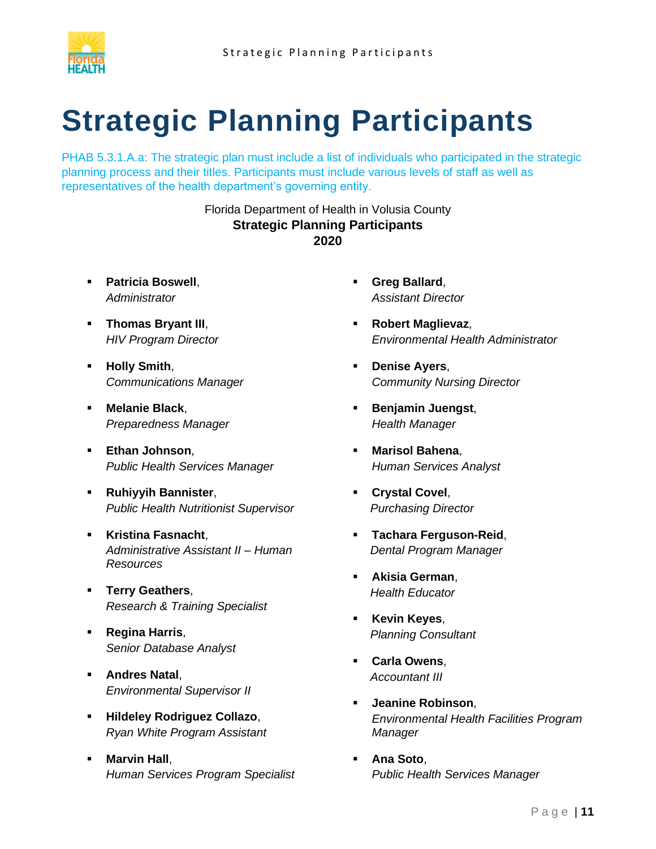

# <span id="page-13-0"></span>**Strategic Planning Participants**

PHAB 5.3.1.A.a: The strategic plan must include a list of individuals who participated in the strategic planning process and their titles. Participants must include various levels of staff as well as representatives of the health department's governing entity.

#### Florida Department of Health in Volusia County **Strategic Planning Participants 2020**

- **Patricia Boswell**, *Administrator*
- **Thomas Bryant III**, *HIV Program Director*
- **Holly Smith**, *Communications Manager*
- **Melanie Black**, *Preparedness Manager*
- **Ethan Johnson**, *Public Health Services Manager*
- **Ruhiyyih Bannister**, *Public Health Nutritionist Supervisor*
- **Kristina Fasnacht**, *Administrative Assistant II – Human Resources*
- **Terry Geathers**, *Research & Training Specialist*
- **Regina Harris**, *Senior Database Analyst*
- **Andres Natal**, *Environmental Supervisor II*
- **Hildeley Rodriguez Collazo**, *Ryan White Program Assistant*
- **Marvin Hall,** *Human Services Program Specialist*
- **Greg Ballard**, *Assistant Director*
- **Robert Maglievaz**, *Environmental Health Administrator*
- **Denise Ayers**, *Community Nursing Director*
- **Benjamin Juengst**, *Health Manager*
- **Marisol Bahena**, *Human Services Analyst*
- **Crystal Covel**, *Purchasing Director*
- **Tachara Ferguson-Reid**, *Dental Program Manager*
- **Akisia German**, *Health Educator*
- **Kevin Keyes**, *Planning Consultant*
- **Carla Owens**, *Accountant III*
- **Jeanine Robinson**, *Environmental Health Facilities Program Manager*
- **Ana Soto**, *Public Health Services Manager*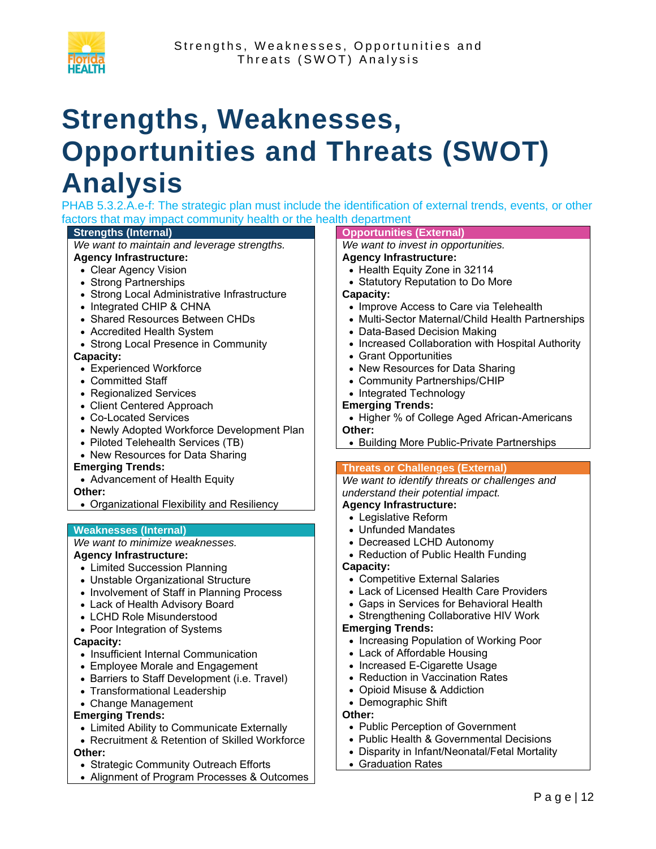

# <span id="page-14-0"></span>**Strengths, Weaknesses, Opportunities and Threats (SWOT) Analysis**

PHAB 5.3.2.A.e-f: The strategic plan must include the identification of external trends, events, or other factors that may impact community health or the health department

#### **Strengths (Internal)**

*We want to maintain and leverage strengths.*

#### **Agency Infrastructure:**

- Clear Agency Vision
- Strong Partnerships
- Strong Local Administrative Infrastructure
- Integrated CHIP & CHNA
- Shared Resources Between CHDs
- Accredited Health System
- Strong Local Presence in Community

#### **Capacity:**

- Experienced Workforce
- Committed Staff
- Regionalized Services
- Client Centered Approach
- Co-Located Services
- Newly Adopted Workforce Development Plan
- Piloted Telehealth Services (TB)
- New Resources for Data Sharing

#### **Emerging Trends:**

- Advancement of Health Equity
- **Other:**
- Organizational Flexibility and Resiliency

#### **Weaknesses (Internal)**

#### *We want to minimize weaknesses.* **Agency Infrastructure:**

- Limited Succession Planning
- Unstable Organizational Structure
- Involvement of Staff in Planning Process
- Lack of Health Advisory Board
- LCHD Role Misunderstood
- Poor Integration of Systems

#### **Capacity:**

- Insufficient Internal Communication
- Employee Morale and Engagement
- Barriers to Staff Development (i.e. Travel)
- Transformational Leadership
- Change Management

#### **Emerging Trends:**

- Limited Ability to Communicate Externally
- Recruitment & Retention of Skilled Workforce **Other:**
- Strategic Community Outreach Efforts
- Alignment of Program Processes & Outcomes

#### **Opportunities (External)**

*We want to invest in opportunities.*

#### **Agency Infrastructure:**

- Health Equity Zone in 32114
- Statutory Reputation to Do More

#### **Capacity:**

- Improve Access to Care via Telehealth
- Multi-Sector Maternal/Child Health Partnerships
- Data-Based Decision Making
- Increased Collaboration with Hospital Authority
- Grant Opportunities
- New Resources for Data Sharing
- Community Partnerships/CHIP
- Integrated Technology

#### **Emerging Trends:**

- Higher % of College Aged African-Americans **Other:**
- Building More Public-Private Partnerships

#### **Threats or Challenges (External)**

#### *We want to identify threats or challenges and understand their potential impact.*

#### **Agency Infrastructure:**

- Legislative Reform • Unfunded Mandates
- 
- Decreased LCHD Autonomy • Reduction of Public Health Funding

#### **Capacity:**

- Competitive External Salaries
- Lack of Licensed Health Care Providers
- Gaps in Services for Behavioral Health
- Strengthening Collaborative HIV Work

#### **Emerging Trends:**

- Increasing Population of Working Poor
- Lack of Affordable Housing
- Increased E-Cigarette Usage
- Reduction in Vaccination Rates
- Opioid Misuse & Addiction
- Demographic Shift

#### **Other:**

- Public Perception of Government
- Public Health & Governmental Decisions
- Disparity in Infant/Neonatal/Fetal Mortality
- Graduation Rates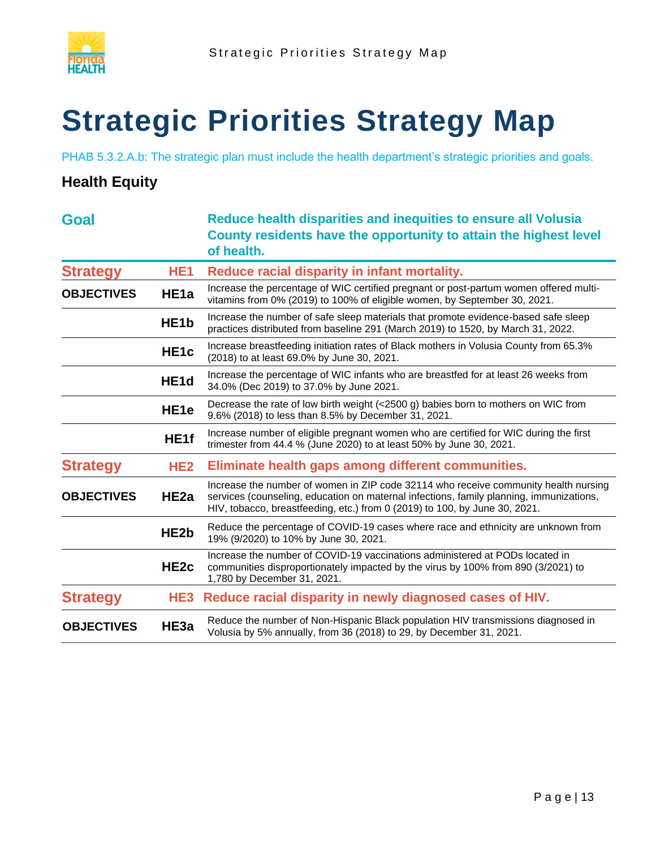

# <span id="page-15-0"></span>**Strategic Priorities Strategy Map**

PHAB 5.3.2.A.b: The strategic plan must include the health department's strategic priorities and goals.

#### **Health Equity**

| <b>Goal</b>       |                   | Reduce health disparities and inequities to ensure all Volusia<br>County residents have the opportunity to attain the highest level<br>of health.                                                                                                            |
|-------------------|-------------------|--------------------------------------------------------------------------------------------------------------------------------------------------------------------------------------------------------------------------------------------------------------|
| <b>Strategy</b>   | HE <sub>1</sub>   | Reduce racial disparity in infant mortality.                                                                                                                                                                                                                 |
| <b>OBJECTIVES</b> | HE <sub>1a</sub>  | Increase the percentage of WIC certified pregnant or post-partum women offered multi-<br>vitamins from 0% (2019) to 100% of eligible women, by September 30, 2021.                                                                                           |
|                   | HE <sub>1</sub> b | Increase the number of safe sleep materials that promote evidence-based safe sleep<br>practices distributed from baseline 291 (March 2019) to 1520, by March 31, 2022.                                                                                       |
|                   | HE <sub>1c</sub>  | Increase breastfeeding initiation rates of Black mothers in Volusia County from 65.3%<br>(2018) to at least 69.0% by June 30, 2021.                                                                                                                          |
|                   | HE <sub>1d</sub>  | Increase the percentage of WIC infants who are breastfed for at least 26 weeks from<br>34.0% (Dec 2019) to 37.0% by June 2021.                                                                                                                               |
|                   | HE <sub>1e</sub>  | Decrease the rate of low birth weight $(<2500 \text{ g})$ babies born to mothers on WIC from<br>9.6% (2018) to less than 8.5% by December 31, 2021.                                                                                                          |
|                   | HE1f              | Increase number of eligible pregnant women who are certified for WIC during the first<br>trimester from 44.4 % (June 2020) to at least 50% by June 30, 2021.                                                                                                 |
| <b>Strategy</b>   | HE <sub>2</sub>   | Eliminate health gaps among different communities.                                                                                                                                                                                                           |
| <b>OBJECTIVES</b> | HE <sub>2a</sub>  | Increase the number of women in ZIP code 32114 who receive community health nursing<br>services (counseling, education on maternal infections, family planning, immunizations,<br>HIV, tobacco, breastfeeding, etc.) from 0 (2019) to 100, by June 30, 2021. |
|                   | HE <sub>2</sub> b | Reduce the percentage of COVID-19 cases where race and ethnicity are unknown from<br>19% (9/2020) to 10% by June 30, 2021.                                                                                                                                   |
|                   | HE <sub>2c</sub>  | Increase the number of COVID-19 vaccinations administered at PODs located in<br>communities disproportionately impacted by the virus by 100% from 890 (3/2021) to<br>1,780 by December 31, 2021.                                                             |
| <b>Strategy</b>   | HE3               | Reduce racial disparity in newly diagnosed cases of HIV.                                                                                                                                                                                                     |
| <b>OBJECTIVES</b> | HE3a              | Reduce the number of Non-Hispanic Black population HIV transmissions diagnosed in<br>Volusia by 5% annually, from 36 (2018) to 29, by December 31, 2021.                                                                                                     |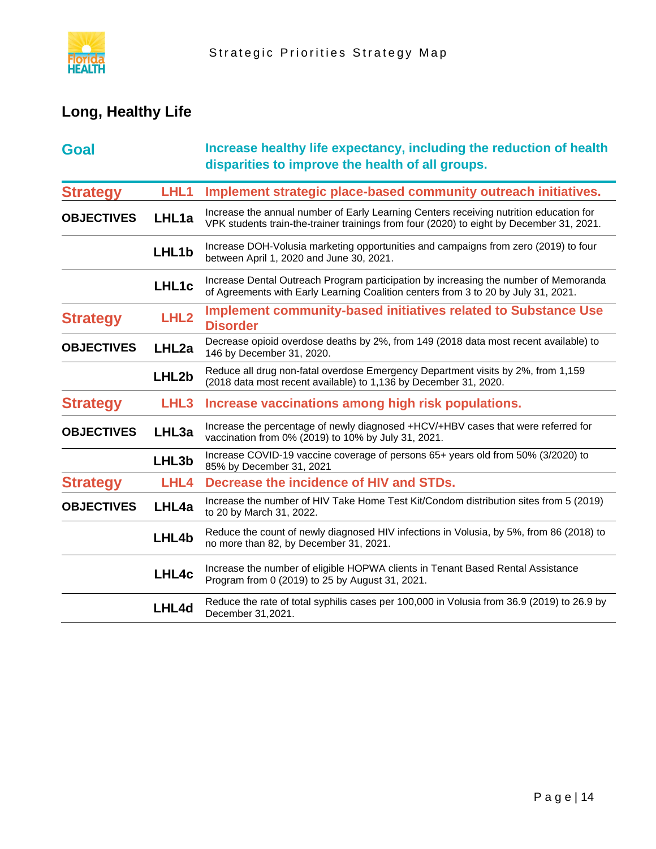

## **Long, Healthy Life**

| <b>Goal</b>       |                  | Increase healthy life expectancy, including the reduction of health<br>disparities to improve the health of all groups.                                                            |
|-------------------|------------------|------------------------------------------------------------------------------------------------------------------------------------------------------------------------------------|
| <b>Strategy</b>   | LHL <sub>1</sub> | Implement strategic place-based community outreach initiatives.                                                                                                                    |
| <b>OBJECTIVES</b> | LHL1a            | Increase the annual number of Early Learning Centers receiving nutrition education for<br>VPK students train-the-trainer trainings from four (2020) to eight by December 31, 2021. |
|                   | LHL1b            | Increase DOH-Volusia marketing opportunities and campaigns from zero (2019) to four<br>between April 1, 2020 and June 30, 2021.                                                    |
|                   | LHL1c            | Increase Dental Outreach Program participation by increasing the number of Memoranda<br>of Agreements with Early Learning Coalition centers from 3 to 20 by July 31, 2021.         |
| <b>Strategy</b>   | LHL <sub>2</sub> | <b>Implement community-based initiatives related to Substance Use</b><br><b>Disorder</b>                                                                                           |
| <b>OBJECTIVES</b> | LHL2a            | Decrease opioid overdose deaths by 2%, from 149 (2018 data most recent available) to<br>146 by December 31, 2020.                                                                  |
|                   | LHL2b            | Reduce all drug non-fatal overdose Emergency Department visits by 2%, from 1,159<br>(2018 data most recent available) to 1,136 by December 31, 2020.                               |
| <b>Strategy</b>   | LHL <sub>3</sub> | Increase vaccinations among high risk populations.                                                                                                                                 |
| <b>OBJECTIVES</b> | LHL3a            | Increase the percentage of newly diagnosed +HCV/+HBV cases that were referred for<br>vaccination from 0% (2019) to 10% by July 31, 2021.                                           |
|                   | LHL3b            | Increase COVID-19 vaccine coverage of persons 65+ years old from 50% (3/2020) to<br>85% by December 31, 2021                                                                       |
| <b>Strategy</b>   | LHL4             | Decrease the incidence of HIV and STDs.                                                                                                                                            |
| <b>OBJECTIVES</b> | LHL4a            | Increase the number of HIV Take Home Test Kit/Condom distribution sites from 5 (2019)<br>to 20 by March 31, 2022.                                                                  |
|                   | LHL4b            | Reduce the count of newly diagnosed HIV infections in Volusia, by 5%, from 86 (2018) to<br>no more than 82, by December 31, 2021.                                                  |
|                   | LHL4c            | Increase the number of eligible HOPWA clients in Tenant Based Rental Assistance<br>Program from 0 (2019) to 25 by August 31, 2021.                                                 |
|                   | LHL4d            | Reduce the rate of total syphilis cases per 100,000 in Volusia from 36.9 (2019) to 26.9 by<br>December 31,2021.                                                                    |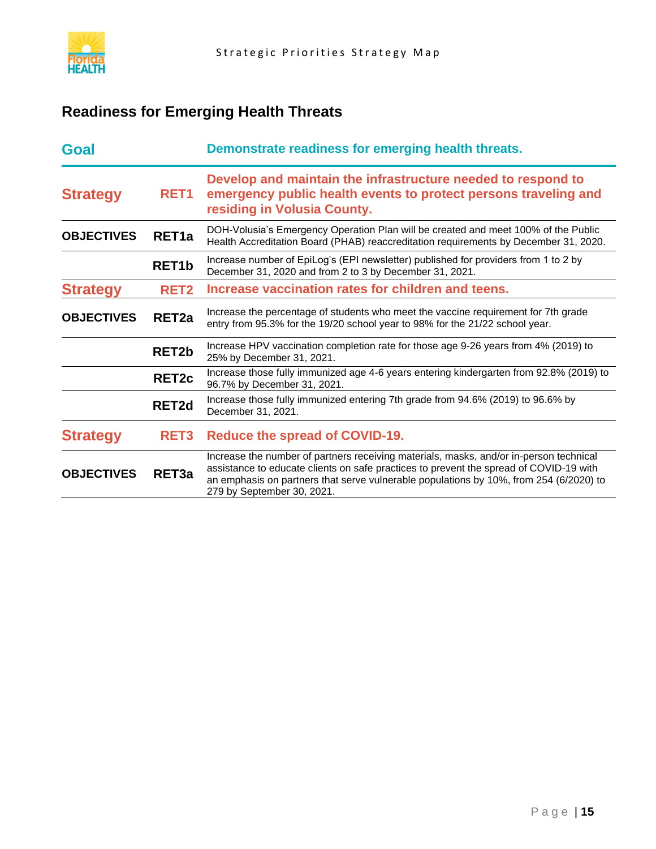

## **Readiness for Emerging Health Threats**

| <b>Goal</b>       |                    | Demonstrate readiness for emerging health threats.                                                                                                                                                                                                                                                       |
|-------------------|--------------------|----------------------------------------------------------------------------------------------------------------------------------------------------------------------------------------------------------------------------------------------------------------------------------------------------------|
| <b>Strategy</b>   | RET <sub>1</sub>   | Develop and maintain the infrastructure needed to respond to<br>emergency public health events to protect persons traveling and<br>residing in Volusia County.                                                                                                                                           |
| <b>OBJECTIVES</b> | RET <sub>1a</sub>  | DOH-Volusia's Emergency Operation Plan will be created and meet 100% of the Public<br>Health Accreditation Board (PHAB) reaccreditation requirements by December 31, 2020.                                                                                                                               |
|                   | RET <sub>1</sub> b | Increase number of EpiLog's (EPI newsletter) published for providers from 1 to 2 by<br>December 31, 2020 and from 2 to 3 by December 31, 2021.                                                                                                                                                           |
| <b>Strategy</b>   | RET <sub>2</sub>   | Increase vaccination rates for children and teens.                                                                                                                                                                                                                                                       |
| <b>OBJECTIVES</b> | RET <sub>2a</sub>  | Increase the percentage of students who meet the vaccine requirement for 7th grade<br>entry from 95.3% for the 19/20 school year to 98% for the 21/22 school year.                                                                                                                                       |
|                   | RET <sub>2</sub> b | Increase HPV vaccination completion rate for those age 9-26 years from 4% (2019) to<br>25% by December 31, 2021.                                                                                                                                                                                         |
|                   | RET <sub>2c</sub>  | Increase those fully immunized age 4-6 years entering kindergarten from 92.8% (2019) to<br>96.7% by December 31, 2021.                                                                                                                                                                                   |
|                   | RET <sub>2d</sub>  | Increase those fully immunized entering 7th grade from 94.6% (2019) to 96.6% by<br>December 31, 2021.                                                                                                                                                                                                    |
| <b>Strategy</b>   | RET <sub>3</sub>   | Reduce the spread of COVID-19.                                                                                                                                                                                                                                                                           |
| <b>OBJECTIVES</b> | RET <sub>3a</sub>  | Increase the number of partners receiving materials, masks, and/or in-person technical<br>assistance to educate clients on safe practices to prevent the spread of COVID-19 with<br>an emphasis on partners that serve vulnerable populations by 10%, from 254 (6/2020) to<br>279 by September 30, 2021. |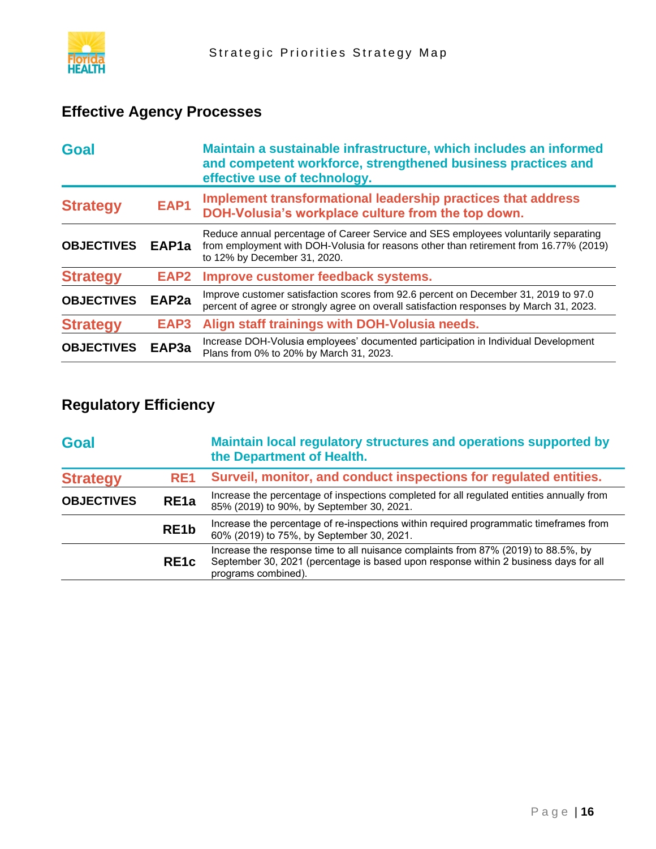

## **Effective Agency Processes**

| <b>Goal</b>       |                   | Maintain a sustainable infrastructure, which includes an informed<br>and competent workforce, strengthened business practices and<br>effective use of technology.                                            |
|-------------------|-------------------|--------------------------------------------------------------------------------------------------------------------------------------------------------------------------------------------------------------|
| <b>Strategy</b>   | EAP1              | Implement transformational leadership practices that address<br>DOH-Volusia's workplace culture from the top down.                                                                                           |
| <b>OBJECTIVES</b> | EAP <sub>1a</sub> | Reduce annual percentage of Career Service and SES employees voluntarily separating<br>from employment with DOH-Volusia for reasons other than retirement from 16.77% (2019)<br>to 12% by December 31, 2020. |
| <b>Strategy</b>   | EAP2              | Improve customer feedback systems.                                                                                                                                                                           |
| <b>OBJECTIVES</b> | EAP <sub>2a</sub> | Improve customer satisfaction scores from 92.6 percent on December 31, 2019 to 97.0<br>percent of agree or strongly agree on overall satisfaction responses by March 31, 2023.                               |
| <b>Strategy</b>   | EAP3              | Align staff trainings with DOH-Volusia needs.                                                                                                                                                                |
| <b>OBJECTIVES</b> | EAP3a             | Increase DOH-Volusia employees' documented participation in Individual Development<br>Plans from 0% to 20% by March 31, 2023.                                                                                |

## **Regulatory Efficiency**

| <b>Goal</b>       |                   | Maintain local regulatory structures and operations supported by<br>the Department of Health.                                                                                                     |
|-------------------|-------------------|---------------------------------------------------------------------------------------------------------------------------------------------------------------------------------------------------|
| <b>Strategy</b>   | RE <sub>1</sub>   | Surveil, monitor, and conduct inspections for regulated entities.                                                                                                                                 |
| <b>OBJECTIVES</b> | RE <sub>1a</sub>  | Increase the percentage of inspections completed for all regulated entities annually from<br>85% (2019) to 90%, by September 30, 2021.                                                            |
|                   | RE <sub>1</sub> b | Increase the percentage of re-inspections within required programmatic timeframes from<br>60% (2019) to 75%, by September 30, 2021.                                                               |
|                   | RE <sub>1</sub> c | Increase the response time to all nuisance complaints from 87% (2019) to 88.5%, by<br>September 30, 2021 (percentage is based upon response within 2 business days for all<br>programs combined). |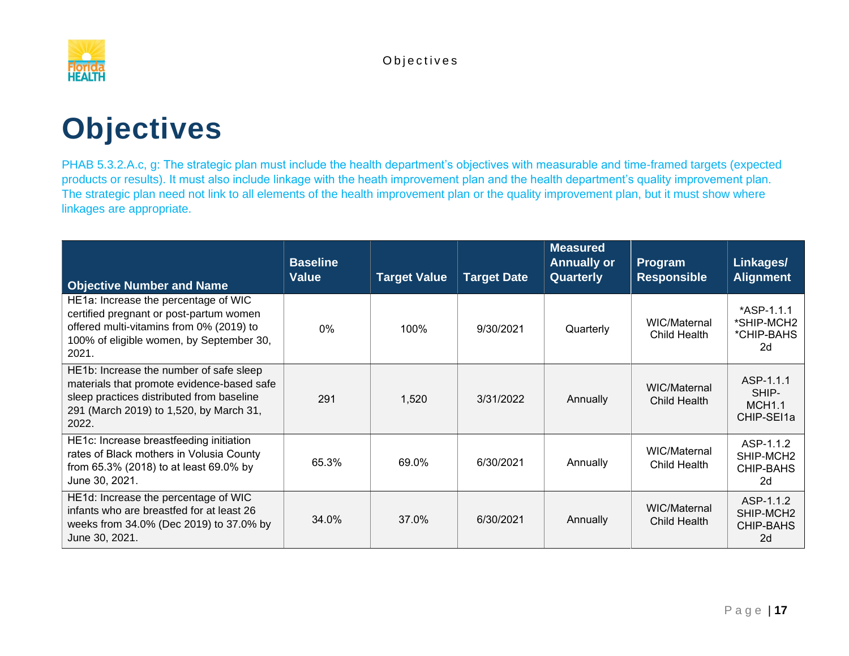

# **Objectives**

PHAB 5.3.2.A.c, g: The strategic plan must include the health department's objectives with measurable and time-framed targets (expected products or results). It must also include linkage with the heath improvement plan and the health department's quality improvement plan. The strategic plan need not link to all elements of the health improvement plan or the quality improvement plan, but it must show where linkages are appropriate.

<span id="page-19-0"></span>

| <b>Objective Number and Name</b>                                                                                                                                                       | <b>Baseline</b><br><b>Value</b> | <b>Target Value</b> | <b>Target Date</b> | <b>Measured</b><br><b>Annually or</b><br>Quarterly | <b>Program</b><br><b>Responsible</b> | Linkages/<br><b>Alignment</b>                                |
|----------------------------------------------------------------------------------------------------------------------------------------------------------------------------------------|---------------------------------|---------------------|--------------------|----------------------------------------------------|--------------------------------------|--------------------------------------------------------------|
| HE1a: Increase the percentage of WIC<br>certified pregnant or post-partum women<br>offered multi-vitamins from 0% (2019) to<br>100% of eligible women, by September 30,<br>2021.       | $0\%$                           | 100%                | 9/30/2021          | Quarterly                                          | WIC/Maternal<br>Child Health         | *ASP-1.1.1<br>*SHIP-MCH2<br>*CHIP-BAHS<br>2d                 |
| HE1b: Increase the number of safe sleep<br>materials that promote evidence-based safe<br>sleep practices distributed from baseline<br>291 (March 2019) to 1,520, by March 31,<br>2022. | 291                             | 1,520               | 3/31/2022          | Annually                                           | WIC/Maternal<br>Child Health         | ASP-1.1.1<br>SHIP-<br><b>MCH1.1</b><br>CHIP-SEI1a            |
| HE1c: Increase breastfeeding initiation<br>rates of Black mothers in Volusia County<br>from 65.3% (2018) to at least 69.0% by<br>June 30, 2021.                                        | 65.3%                           | 69.0%               | 6/30/2021          | Annually                                           | WIC/Maternal<br>Child Health         | ASP-1.1.2<br>SHIP-MCH <sub>2</sub><br><b>CHIP-BAHS</b><br>2d |
| HE1d: Increase the percentage of WIC<br>infants who are breastfed for at least 26<br>weeks from 34.0% (Dec 2019) to 37.0% by<br>June 30, 2021.                                         | 34.0%                           | 37.0%               | 6/30/2021          | Annually                                           | WIC/Maternal<br>Child Health         | ASP-1.1.2<br>SHIP-MCH <sub>2</sub><br>CHIP-BAHS<br>2d        |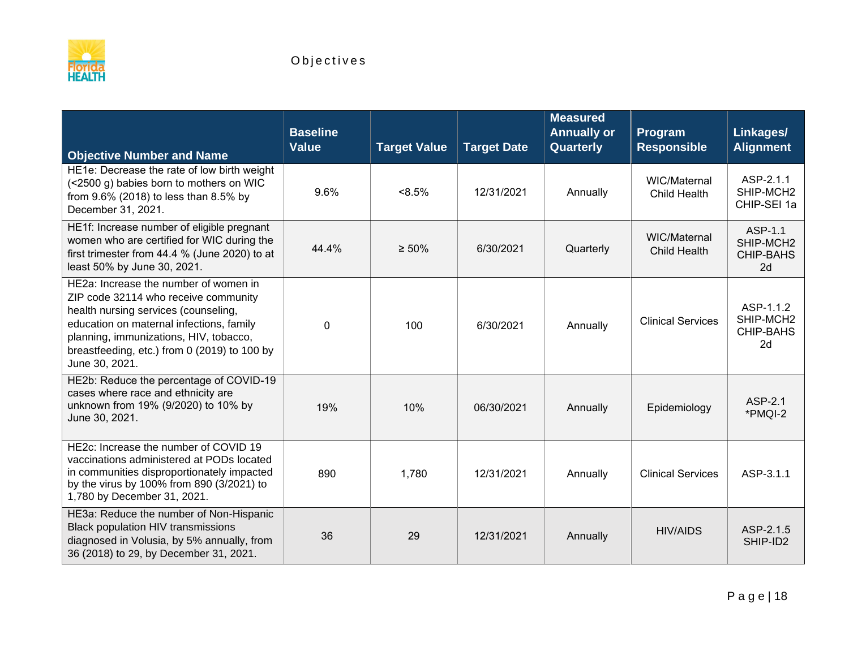

| <b>Objective Number and Name</b>                                                                                                                                                                                                                                              | <b>Baseline</b><br><b>Value</b> | <b>Target Value</b> | <b>Target Date</b> | <b>Measured</b><br><b>Annually or</b><br>Quarterly | Program<br><b>Responsible</b> | Linkages/<br><b>Alignment</b>                    |
|-------------------------------------------------------------------------------------------------------------------------------------------------------------------------------------------------------------------------------------------------------------------------------|---------------------------------|---------------------|--------------------|----------------------------------------------------|-------------------------------|--------------------------------------------------|
| HE1e: Decrease the rate of low birth weight<br>(<2500 g) babies born to mothers on WIC<br>from 9.6% (2018) to less than 8.5% by<br>December 31, 2021.                                                                                                                         | 9.6%                            | $< 8.5\%$           | 12/31/2021         | Annually                                           | WIC/Maternal<br>Child Health  | ASP-2.1.1<br>SHIP-MCH2<br>CHIP-SEI 1a            |
| HE1f: Increase number of eligible pregnant<br>women who are certified for WIC during the<br>first trimester from 44.4 % (June 2020) to at<br>least 50% by June 30, 2021.                                                                                                      | 44.4%                           | $\geq 50\%$         | 6/30/2021          | Quarterly                                          | WIC/Maternal<br>Child Health  | ASP-1.1<br>SHIP-MCH2<br><b>CHIP-BAHS</b><br>2d   |
| HE2a: Increase the number of women in<br>ZIP code 32114 who receive community<br>health nursing services (counseling,<br>education on maternal infections, family<br>planning, immunizations, HIV, tobacco,<br>breastfeeding, etc.) from 0 (2019) to 100 by<br>June 30, 2021. | $\mathbf 0$                     | 100                 | 6/30/2021          | Annually                                           | <b>Clinical Services</b>      | ASP-1.1.2<br>SHIP-MCH2<br><b>CHIP-BAHS</b><br>2d |
| HE2b: Reduce the percentage of COVID-19<br>cases where race and ethnicity are<br>unknown from 19% (9/2020) to 10% by<br>June 30, 2021.                                                                                                                                        | 19%                             | 10%                 | 06/30/2021         | Annually                                           | Epidemiology                  | ASP-2.1<br>*PMQI-2                               |
| HE2c: Increase the number of COVID 19<br>vaccinations administered at PODs located<br>in communities disproportionately impacted<br>by the virus by 100% from 890 (3/2021) to<br>1,780 by December 31, 2021.                                                                  | 890                             | 1,780               | 12/31/2021         | Annually                                           | <b>Clinical Services</b>      | ASP-3.1.1                                        |
| HE3a: Reduce the number of Non-Hispanic<br>Black population HIV transmissions<br>diagnosed in Volusia, by 5% annually, from<br>36 (2018) to 29, by December 31, 2021.                                                                                                         | 36                              | 29                  | 12/31/2021         | Annually                                           | <b>HIV/AIDS</b>               | ASP-2.1.5<br>SHIP-ID2                            |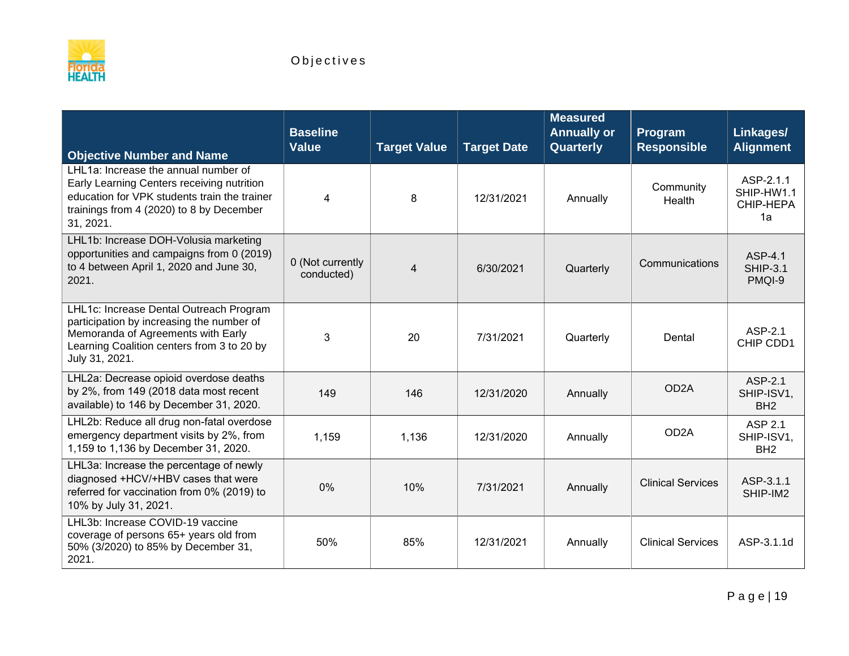

| <b>Objective Number and Name</b>                                                                                                                                                            | <b>Baseline</b><br><b>Value</b> | <b>Target Value</b> | <b>Target Date</b> | <b>Measured</b><br><b>Annually or</b><br>Quarterly | Program<br><b>Responsible</b> | Linkages/<br><b>Alignment</b>                   |
|---------------------------------------------------------------------------------------------------------------------------------------------------------------------------------------------|---------------------------------|---------------------|--------------------|----------------------------------------------------|-------------------------------|-------------------------------------------------|
| LHL1a: Increase the annual number of<br>Early Learning Centers receiving nutrition<br>education for VPK students train the trainer<br>trainings from 4 (2020) to 8 by December<br>31, 2021. | $\overline{\mathbf{4}}$         | 8                   | 12/31/2021         | Annually                                           | Community<br>Health           | ASP-2.1.1<br>SHIP-HW1.1<br>CHIP-HEPA<br>1a      |
| LHL1b: Increase DOH-Volusia marketing<br>opportunities and campaigns from 0 (2019)<br>to 4 between April 1, 2020 and June 30,<br>2021.                                                      | 0 (Not currently<br>conducted)  | $\overline{4}$      | 6/30/2021          | Quarterly                                          | Communications                | ASP-4.1<br><b>SHIP-3.1</b><br>PMQI-9            |
| LHL1c: Increase Dental Outreach Program<br>participation by increasing the number of<br>Memoranda of Agreements with Early<br>Learning Coalition centers from 3 to 20 by<br>July 31, 2021.  | 3                               | 20                  | 7/31/2021          | Quarterly                                          | Dental                        | ASP-2.1<br>CHIP CDD1                            |
| LHL2a: Decrease opioid overdose deaths<br>by 2%, from 149 (2018 data most recent<br>available) to 146 by December 31, 2020.                                                                 | 149                             | 146                 | 12/31/2020         | Annually                                           | OD <sub>2</sub> A             | ASP-2.1<br>SHIP-ISV1,<br>BH <sub>2</sub>        |
| LHL2b: Reduce all drug non-fatal overdose<br>emergency department visits by 2%, from<br>1,159 to 1,136 by December 31, 2020.                                                                | 1,159                           | 1,136               | 12/31/2020         | Annually                                           | OD <sub>2</sub> A             | <b>ASP 2.1</b><br>SHIP-ISV1,<br>BH <sub>2</sub> |
| LHL3a: Increase the percentage of newly<br>diagnosed +HCV/+HBV cases that were<br>referred for vaccination from 0% (2019) to<br>10% by July 31, 2021.                                       | 0%                              | 10%                 | 7/31/2021          | Annually                                           | <b>Clinical Services</b>      | ASP-3.1.1<br>SHIP-IM2                           |
| LHL3b: Increase COVID-19 vaccine<br>coverage of persons 65+ years old from<br>50% (3/2020) to 85% by December 31,<br>2021.                                                                  | 50%                             | 85%                 | 12/31/2021         | Annually                                           | <b>Clinical Services</b>      | ASP-3.1.1d                                      |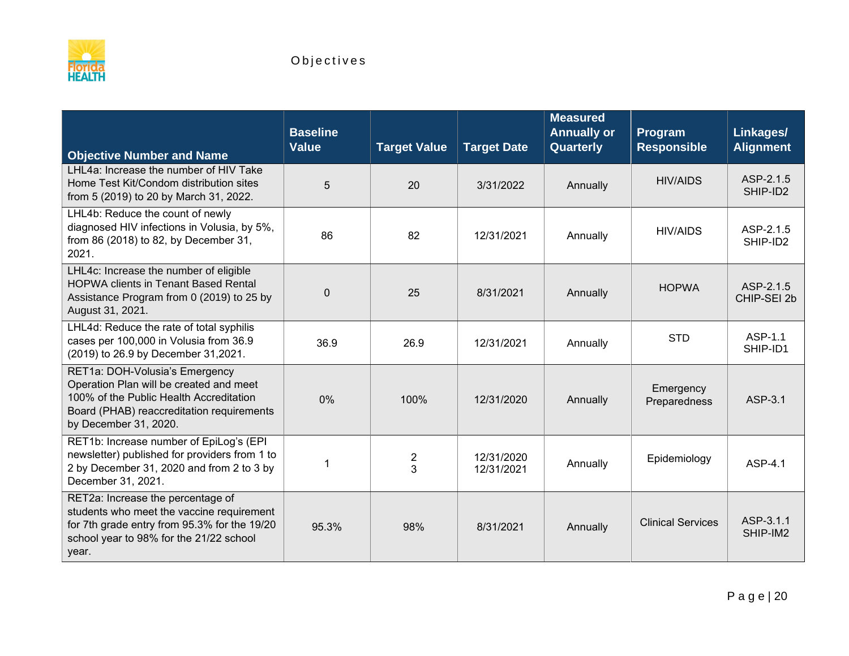

| <b>Objective Number and Name</b>                                                                                                                                                           | <b>Baseline</b><br><b>Value</b> | <b>Target Value</b> | <b>Target Date</b>       | <b>Measured</b><br><b>Annually or</b><br>Quarterly | Program<br><b>Responsible</b> | Linkages/<br><b>Alignment</b> |
|--------------------------------------------------------------------------------------------------------------------------------------------------------------------------------------------|---------------------------------|---------------------|--------------------------|----------------------------------------------------|-------------------------------|-------------------------------|
| LHL4a: Increase the number of HIV Take<br>Home Test Kit/Condom distribution sites<br>from 5 (2019) to 20 by March 31, 2022.                                                                | 5                               | 20                  | 3/31/2022                | Annually                                           | <b>HIV/AIDS</b>               | ASP-2.1.5<br>SHIP-ID2         |
| LHL4b: Reduce the count of newly<br>diagnosed HIV infections in Volusia, by 5%,<br>from 86 (2018) to 82, by December 31,<br>2021.                                                          | 86                              | 82                  | 12/31/2021               | Annually                                           | <b>HIV/AIDS</b>               | ASP-2.1.5<br>SHIP-ID2         |
| LHL4c: Increase the number of eligible<br><b>HOPWA clients in Tenant Based Rental</b><br>Assistance Program from 0 (2019) to 25 by<br>August 31, 2021.                                     | $\mathbf{0}$                    | 25                  | 8/31/2021                | Annually                                           | <b>HOPWA</b>                  | ASP-2.1.5<br>CHIP-SEI 2b      |
| LHL4d: Reduce the rate of total syphilis<br>cases per 100,000 in Volusia from 36.9<br>(2019) to 26.9 by December 31,2021.                                                                  | 36.9                            | 26.9                | 12/31/2021               | Annually                                           | <b>STD</b>                    | ASP-1.1<br>SHIP-ID1           |
| RET1a: DOH-Volusia's Emergency<br>Operation Plan will be created and meet<br>100% of the Public Health Accreditation<br>Board (PHAB) reaccreditation requirements<br>by December 31, 2020. | 0%                              | 100%                | 12/31/2020               | Annually                                           | Emergency<br>Preparedness     | ASP-3.1                       |
| RET1b: Increase number of EpiLog's (EPI<br>newsletter) published for providers from 1 to<br>2 by December 31, 2020 and from 2 to 3 by<br>December 31, 2021.                                | -1                              | $\frac{2}{3}$       | 12/31/2020<br>12/31/2021 | Annually                                           | Epidemiology                  | ASP-4.1                       |
| RET2a: Increase the percentage of<br>students who meet the vaccine requirement<br>for 7th grade entry from 95.3% for the 19/20<br>school year to 98% for the 21/22 school<br>year.         | 95.3%                           | 98%                 | 8/31/2021                | Annually                                           | <b>Clinical Services</b>      | ASP-3.1.1<br>SHIP-IM2         |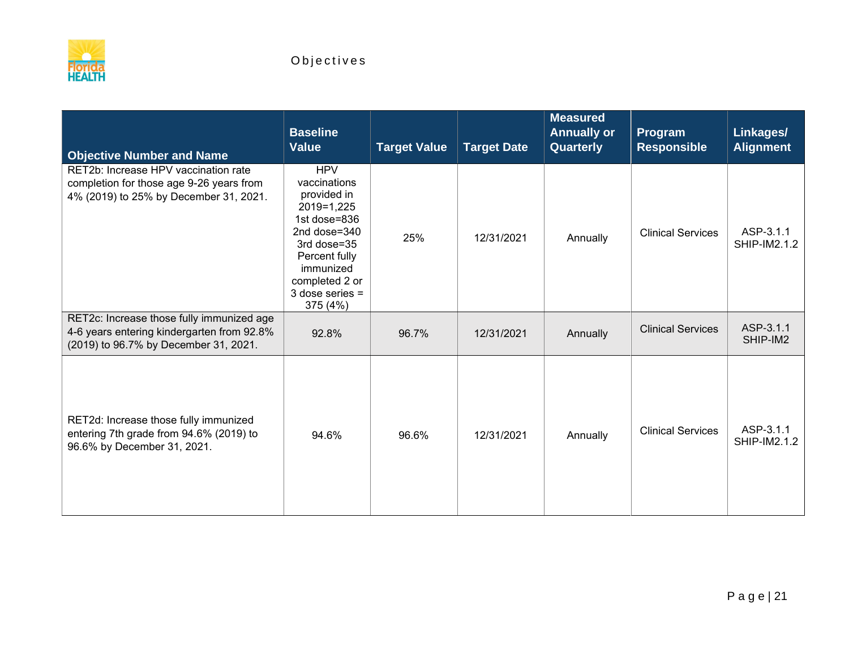

| <b>Objective Number and Name</b>                                                                                                 | <b>Baseline</b><br><b>Value</b>                                                                                                                                                         | <b>Target Value</b> | <b>Target Date</b> | <b>Measured</b><br><b>Annually or</b><br>Quarterly | Program<br><b>Responsible</b> | Linkages/<br><b>Alignment</b>    |
|----------------------------------------------------------------------------------------------------------------------------------|-----------------------------------------------------------------------------------------------------------------------------------------------------------------------------------------|---------------------|--------------------|----------------------------------------------------|-------------------------------|----------------------------------|
| RET2b: Increase HPV vaccination rate<br>completion for those age 9-26 years from<br>4% (2019) to 25% by December 31, 2021.       | <b>HPV</b><br>vaccinations<br>provided in<br>2019=1,225<br>1st dose=836<br>2nd dose=340<br>3rd dose=35<br>Percent fully<br>immunized<br>completed 2 or<br>$3$ dose series =<br>375 (4%) | 25%                 | 12/31/2021         | Annually                                           | <b>Clinical Services</b>      | ASP-3.1.1<br><b>SHIP-IM2.1.2</b> |
| RET2c: Increase those fully immunized age<br>4-6 years entering kindergarten from 92.8%<br>(2019) to 96.7% by December 31, 2021. | 92.8%                                                                                                                                                                                   | 96.7%               | 12/31/2021         | Annually                                           | <b>Clinical Services</b>      | ASP-3.1.1<br>SHIP-IM2            |
| RET2d: Increase those fully immunized<br>entering 7th grade from 94.6% (2019) to<br>96.6% by December 31, 2021.                  | 94.6%                                                                                                                                                                                   | 96.6%               | 12/31/2021         | Annually                                           | <b>Clinical Services</b>      | ASP-3.1.1<br><b>SHIP-IM2.1.2</b> |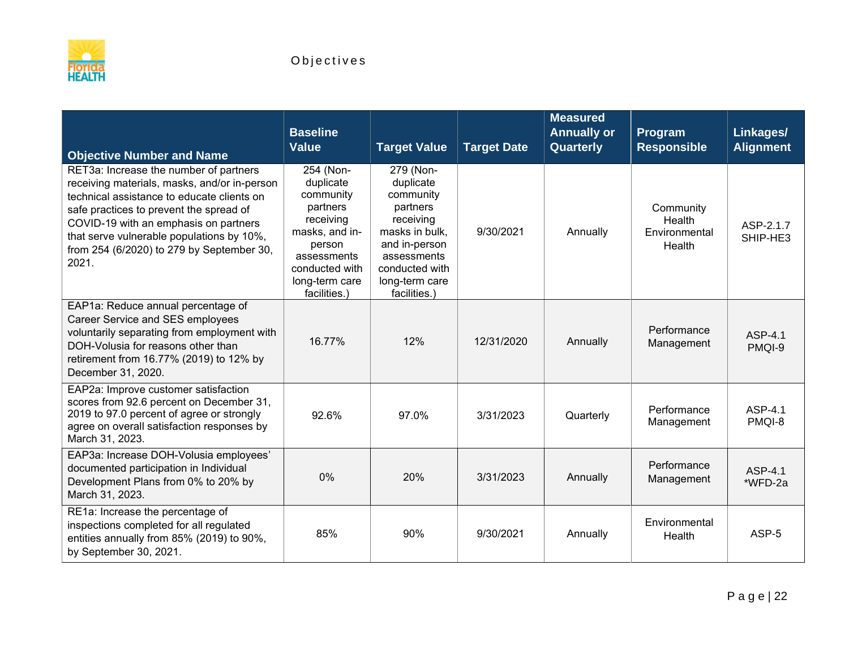

| <b>Objective Number and Name</b>                                                                                                                                                                                                                                                                                            | <b>Baseline</b><br><b>Value</b>                                                                                                                             | <b>Target Value</b>                                                                                                                                               | <b>Target Date</b> | <b>Measured</b><br><b>Annually or</b><br>Quarterly | Program<br><b>Responsible</b>                  | Linkages/<br><b>Alignment</b> |
|-----------------------------------------------------------------------------------------------------------------------------------------------------------------------------------------------------------------------------------------------------------------------------------------------------------------------------|-------------------------------------------------------------------------------------------------------------------------------------------------------------|-------------------------------------------------------------------------------------------------------------------------------------------------------------------|--------------------|----------------------------------------------------|------------------------------------------------|-------------------------------|
| RET3a: Increase the number of partners<br>receiving materials, masks, and/or in-person<br>technical assistance to educate clients on<br>safe practices to prevent the spread of<br>COVID-19 with an emphasis on partners<br>that serve vulnerable populations by 10%,<br>from 254 (6/2020) to 279 by September 30,<br>2021. | 254 (Non-<br>duplicate<br>community<br>partners<br>receiving<br>masks, and in-<br>person<br>assessments<br>conducted with<br>long-term care<br>facilities.) | 279 (Non-<br>duplicate<br>community<br>partners<br>receiving<br>masks in bulk,<br>and in-person<br>assessments<br>conducted with<br>long-term care<br>facilities. | 9/30/2021          | Annually                                           | Community<br>Health<br>Environmental<br>Health | ASP-2.1.7<br>SHIP-HE3         |
| EAP1a: Reduce annual percentage of<br>Career Service and SES employees<br>voluntarily separating from employment with<br>DOH-Volusia for reasons other than<br>retirement from 16.77% (2019) to 12% by<br>December 31, 2020.                                                                                                | 16.77%                                                                                                                                                      | 12%                                                                                                                                                               | 12/31/2020         | Annually                                           | Performance<br>Management                      | ASP-4.1<br>PMQI-9             |
| EAP2a: Improve customer satisfaction<br>scores from 92.6 percent on December 31,<br>2019 to 97.0 percent of agree or strongly<br>agree on overall satisfaction responses by<br>March 31, 2023.                                                                                                                              | 92.6%                                                                                                                                                       | 97.0%                                                                                                                                                             | 3/31/2023          | Quarterly                                          | Performance<br>Management                      | ASP-4.1<br>PMQI-8             |
| EAP3a: Increase DOH-Volusia employees'<br>documented participation in Individual<br>Development Plans from 0% to 20% by<br>March 31, 2023.                                                                                                                                                                                  | 0%                                                                                                                                                          | 20%                                                                                                                                                               | 3/31/2023          | Annually                                           | Performance<br>Management                      | ASP-4.1<br>*WFD-2a            |
| RE1a: Increase the percentage of<br>inspections completed for all regulated<br>entities annually from 85% (2019) to 90%,<br>by September 30, 2021.                                                                                                                                                                          | 85%                                                                                                                                                         | 90%                                                                                                                                                               | 9/30/2021          | Annually                                           | Environmental<br>Health                        | ASP-5                         |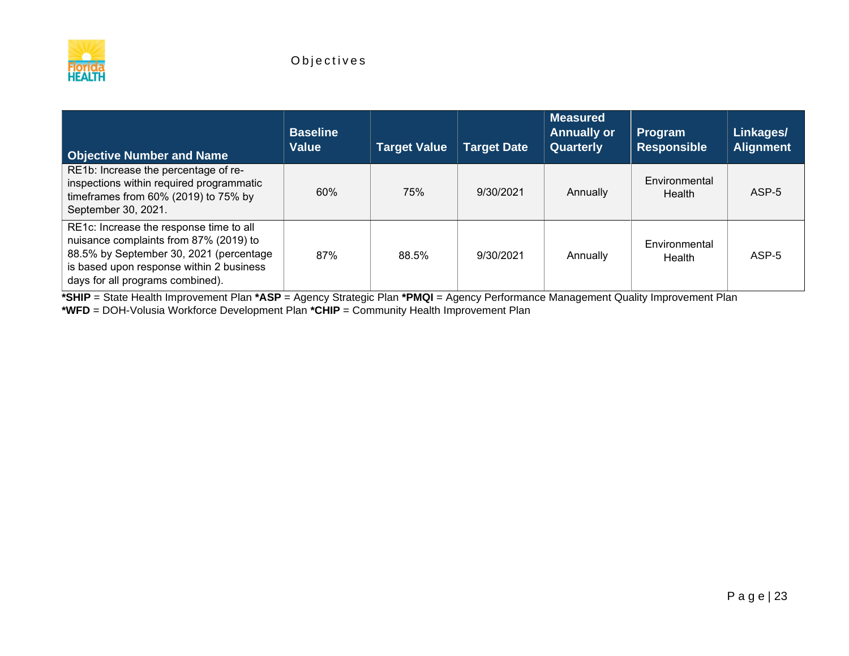

| <b>Objective Number and Name</b>                                                                                                                                                                             | <b>Baseline</b><br><b>Value</b> | <b>Target Value</b> | <b>Target Date</b> | <b>Measured</b><br><b>Annually or</b><br><b>Quarterly</b> | Program<br><b>Responsible</b> | Linkages/<br><b>Alignment</b> |
|--------------------------------------------------------------------------------------------------------------------------------------------------------------------------------------------------------------|---------------------------------|---------------------|--------------------|-----------------------------------------------------------|-------------------------------|-------------------------------|
| RE1b: Increase the percentage of re-<br>inspections within required programmatic<br>timeframes from $60\%$ (2019) to 75% by<br>September 30, 2021.                                                           | 60%                             | 75%                 | 9/30/2021          | Annually                                                  | Environmental<br>Health       | ASP-5                         |
| RE1c: Increase the response time to all<br>nuisance complaints from 87% (2019) to<br>88.5% by September 30, 2021 (percentage<br>is based upon response within 2 business<br>days for all programs combined). | 87%                             | 88.5%               | 9/30/2021          | Annually                                                  | Environmental<br>Health       | ASP-5                         |

**\*SHIP** = State Health Improvement Plan **\*ASP** = Agency Strategic Plan **\*PMQI** = Agency Performance Management Quality Improvement Plan **\*WFD** = DOH-Volusia Workforce Development Plan **\*CHIP** = Community Health Improvement Plan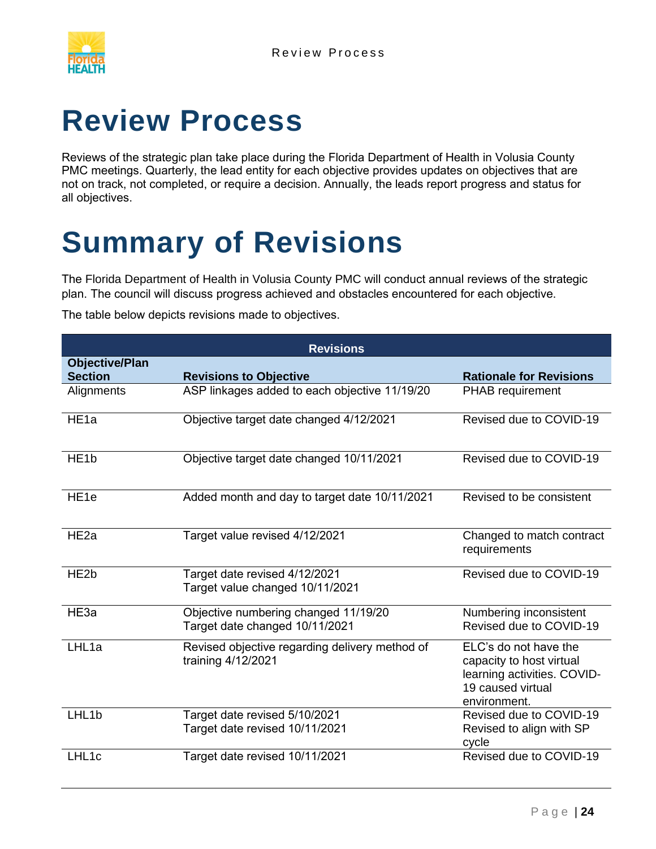

# <span id="page-26-0"></span>**Review Process**

Reviews of the strategic plan take place during the Florida Department of Health in Volusia County PMC meetings. Quarterly, the lead entity for each objective provides updates on objectives that are not on track, not completed, or require a decision. Annually, the leads report progress and status for all objectives.

# <span id="page-26-1"></span>**Summary of Revisions**

The Florida Department of Health in Volusia County PMC will conduct annual reviews of the strategic plan. The council will discuss progress achieved and obstacles encountered for each objective.

The table below depicts revisions made to objectives.

| <b>Revisions</b>                        |                                                                        |                                                                                                                       |  |  |  |
|-----------------------------------------|------------------------------------------------------------------------|-----------------------------------------------------------------------------------------------------------------------|--|--|--|
| <b>Objective/Plan</b><br><b>Section</b> | <b>Revisions to Objective</b>                                          | <b>Rationale for Revisions</b>                                                                                        |  |  |  |
| Alignments                              | ASP linkages added to each objective 11/19/20                          | <b>PHAB</b> requirement                                                                                               |  |  |  |
| HE <sub>1a</sub>                        | Objective target date changed 4/12/2021                                | Revised due to COVID-19                                                                                               |  |  |  |
| HE <sub>1b</sub>                        | Objective target date changed 10/11/2021                               | Revised due to COVID-19                                                                                               |  |  |  |
| HE <sub>1e</sub>                        | Added month and day to target date 10/11/2021                          | Revised to be consistent                                                                                              |  |  |  |
| HE <sub>2a</sub>                        | Target value revised 4/12/2021                                         | Changed to match contract<br>requirements                                                                             |  |  |  |
| HE <sub>2</sub> b                       | Target date revised 4/12/2021<br>Target value changed 10/11/2021       | Revised due to COVID-19                                                                                               |  |  |  |
| HE3a                                    | Objective numbering changed 11/19/20<br>Target date changed 10/11/2021 | Numbering inconsistent<br>Revised due to COVID-19                                                                     |  |  |  |
| LHL1a                                   | Revised objective regarding delivery method of<br>training 4/12/2021   | ELC's do not have the<br>capacity to host virtual<br>learning activities. COVID-<br>19 caused virtual<br>environment. |  |  |  |
| LHL1b                                   | Target date revised 5/10/2021<br>Target date revised 10/11/2021        | Revised due to COVID-19<br>Revised to align with SP<br>cycle                                                          |  |  |  |
| LHL1c                                   | Target date revised 10/11/2021                                         | Revised due to COVID-19                                                                                               |  |  |  |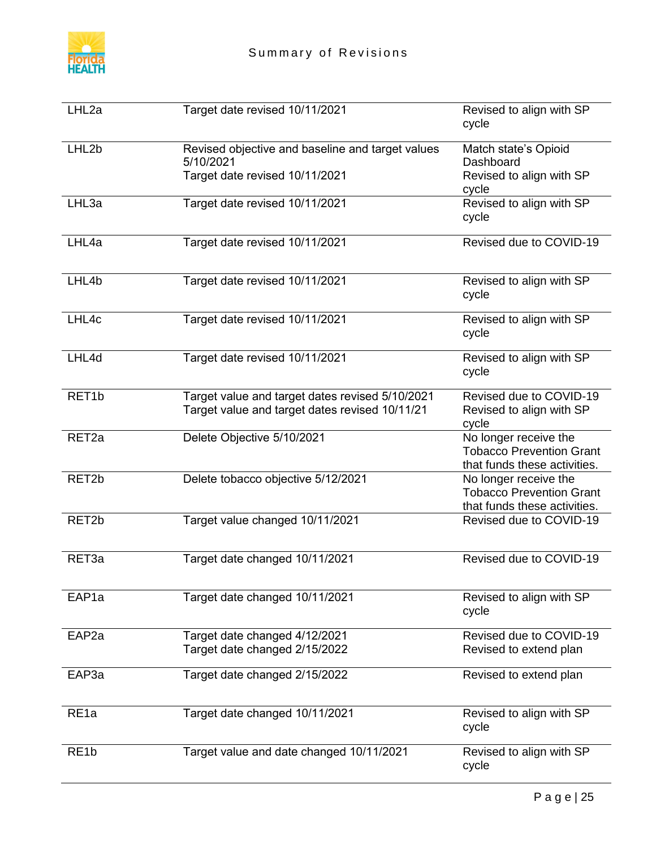

| LHL2a             | Target date revised 10/11/2021                                                                    | Revised to align with SP<br>cycle                                                        |
|-------------------|---------------------------------------------------------------------------------------------------|------------------------------------------------------------------------------------------|
| LHL <sub>2b</sub> | Revised objective and baseline and target values<br>5/10/2021<br>Target date revised 10/11/2021   | Match state's Opioid<br>Dashboard<br>Revised to align with SP<br>cycle                   |
| LHL3a             | Target date revised 10/11/2021                                                                    | Revised to align with SP<br>cycle                                                        |
| LHL4a             | Target date revised 10/11/2021                                                                    | Revised due to COVID-19                                                                  |
| LHL4b             | Target date revised 10/11/2021                                                                    | Revised to align with SP<br>cycle                                                        |
| LHL4c             | Target date revised 10/11/2021                                                                    | Revised to align with SP<br>cycle                                                        |
| LHL4d             | Target date revised 10/11/2021                                                                    | Revised to align with SP<br>cycle                                                        |
| RET <sub>1b</sub> | Target value and target dates revised 5/10/2021<br>Target value and target dates revised 10/11/21 | Revised due to COVID-19<br>Revised to align with SP<br>cycle                             |
| RET <sub>2a</sub> | Delete Objective 5/10/2021                                                                        | No longer receive the<br><b>Tobacco Prevention Grant</b><br>that funds these activities. |
| RET <sub>2b</sub> | Delete tobacco objective 5/12/2021                                                                | No longer receive the<br><b>Tobacco Prevention Grant</b><br>that funds these activities. |
| RET <sub>2b</sub> | Target value changed 10/11/2021                                                                   | Revised due to COVID-19                                                                  |
| RET <sub>3a</sub> | Target date changed 10/11/2021                                                                    | Revised due to COVID-19                                                                  |
| EAP <sub>1a</sub> | Target date changed 10/11/2021                                                                    | Revised to align with SP<br>cycle                                                        |
| EAP <sub>2a</sub> | Target date changed 4/12/2021<br>Target date changed 2/15/2022                                    | Revised due to COVID-19<br>Revised to extend plan                                        |
| EAP3a             | Target date changed 2/15/2022                                                                     | Revised to extend plan                                                                   |
| RE <sub>1a</sub>  | Target date changed 10/11/2021                                                                    | Revised to align with SP<br>cycle                                                        |
| RE <sub>1</sub> b | Target value and date changed 10/11/2021                                                          | Revised to align with SP<br>cycle                                                        |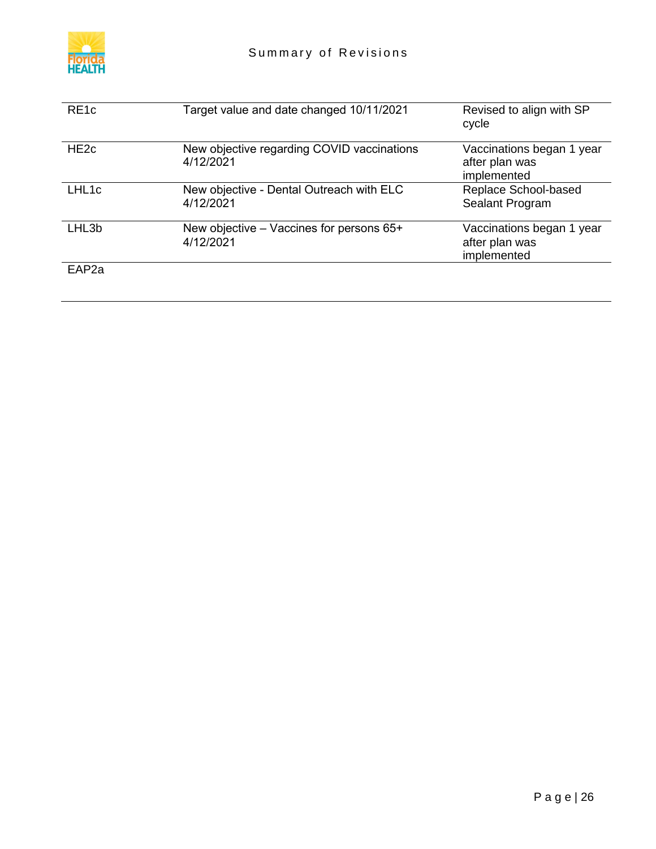

| RE <sub>1c</sub>  | Target value and date changed 10/11/2021                | Revised to align with SP<br>cycle                          |
|-------------------|---------------------------------------------------------|------------------------------------------------------------|
| HE <sub>2c</sub>  | New objective regarding COVID vaccinations<br>4/12/2021 | Vaccinations began 1 year<br>after plan was<br>implemented |
| LHL1c             | New objective - Dental Outreach with ELC<br>4/12/2021   | Replace School-based<br>Sealant Program                    |
| LHL3b             | New objective – Vaccines for persons 65+<br>4/12/2021   | Vaccinations began 1 year<br>after plan was<br>implemented |
| EAP <sub>2a</sub> |                                                         |                                                            |